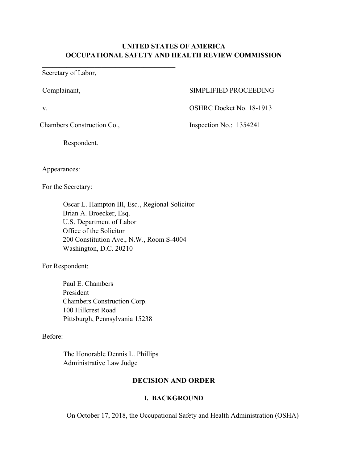# **UNITED STATES OF AMERICA OCCUPATIONAL SAFETY AND HEALTH REVIEW COMMISSION**

Secretary of Labor,

## Complainant, SIMPLIFIED PROCEEDING

v. COSHRC Docket No. 18-1913

Chambers Construction Co., Inspection No.: 1354241

Respondent.

\_\_\_\_\_\_\_\_\_\_\_\_\_\_\_\_\_\_\_\_\_\_\_\_\_\_\_\_\_\_\_\_\_\_\_\_\_\_

**\_\_\_\_\_\_\_\_\_\_\_\_\_\_\_\_\_\_\_\_\_\_\_\_\_\_\_\_\_\_\_\_\_\_\_\_\_\_** 

Appearances:

For the Secretary:

 Oscar L. Hampton III, Esq., Regional Solicitor Brian A. Broecker, Esq. U.S. Department of Labor Office of the Solicitor 200 Constitution Ave., N.W., Room S-4004 Washington, D.C. 20210

For Respondent:

Paul E. Chambers President Chambers Construction Corp. 100 Hillcrest Road Pittsburgh, Pennsylvania 15238

## Before:

The Honorable Dennis L. Phillips Administrative Law Judge

# **DECISION AND ORDER**

# **I.****BACKGROUND**

On October 17, 2018, the Occupational Safety and Health Administration (OSHA)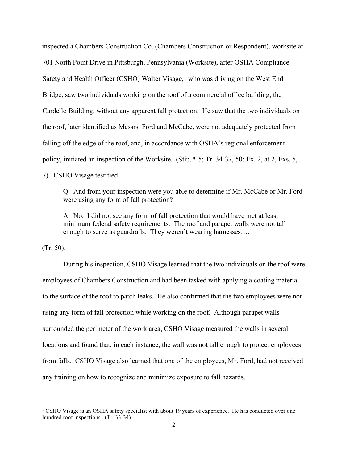inspected a Chambers Construction Co. (Chambers Construction or Respondent), worksite at 701 North Point Drive in Pittsburgh, Pennsylvania (Worksite), after OSHA Compliance Safety and Health Officer (CSHO) Walter Visage,<sup>[1](#page-1-0)</sup> who was driving on the West End Bridge, saw two individuals working on the roof of a commercial office building, the Cardello Building, without any apparent fall protection. He saw that the two individuals on the roof, later identified as Messrs. Ford and McCabe, were not adequately protected from falling off the edge of the roof, and, in accordance with OSHA's regional enforcement policy, initiated an inspection of the Worksite. (Stip. ¶ 5; Tr. 34-37, 50; Ex. 2, at 2, Exs. 5, 7). CSHO Visage testified:

Q. And from your inspection were you able to determine if Mr. McCabe or Mr. Ford were using any form of fall protection?

A. No. I did not see any form of fall protection that would have met at least minimum federal safety requirements. The roof and parapet walls were not tall enough to serve as guardrails. They weren't wearing harnesses….

(Tr. 50).

During his inspection, CSHO Visage learned that the two individuals on the roof were employees of Chambers Construction and had been tasked with applying a coating material to the surface of the roof to patch leaks. He also confirmed that the two employees were not using any form of fall protection while working on the roof. Although parapet walls surrounded the perimeter of the work area, CSHO Visage measured the walls in several locations and found that, in each instance, the wall was not tall enough to protect employees from falls. CSHO Visage also learned that one of the employees, Mr. Ford, had not received any training on how to recognize and minimize exposure to fall hazards.

<span id="page-1-0"></span> $1$  CSHO Visage is an OSHA safety specialist with about 19 years of experience. He has conducted over one hundred roof inspections. (Tr. 33-34).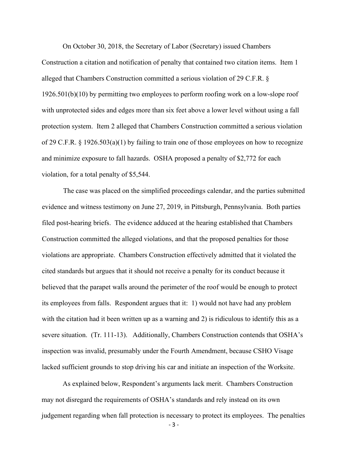On October 30, 2018, the Secretary of Labor (Secretary) issued Chambers Construction a citation and notification of penalty that contained two citation items. Item 1 alleged that Chambers Construction committed a serious violation of 29 C.F.R. § 1926.501(b)(10) by permitting two employees to perform roofing work on a low-slope roof with unprotected sides and edges more than six feet above a lower level without using a fall protection system. Item 2 alleged that Chambers Construction committed a serious violation of 29 C.F.R. § 1926.503(a)(1) by failing to train one of those employees on how to recognize and minimize exposure to fall hazards. OSHA proposed a penalty of \$2,772 for each violation, for a total penalty of \$5,544.

 The case was placed on the simplified proceedings calendar, and the parties submitted evidence and witness testimony on June 27, 2019, in Pittsburgh, Pennsylvania. Both parties filed post-hearing briefs. The evidence adduced at the hearing established that Chambers Construction committed the alleged violations, and that the proposed penalties for those violations are appropriate. Chambers Construction effectively admitted that it violated the cited standards but argues that it should not receive a penalty for its conduct because it believed that the parapet walls around the perimeter of the roof would be enough to protect its employees from falls. Respondent argues that it: 1) would not have had any problem with the citation had it been written up as a warning and 2) is ridiculous to identify this as a severe situation. (Tr. 111-13). Additionally, Chambers Construction contends that OSHA's inspection was invalid, presumably under the Fourth Amendment, because CSHO Visage lacked sufficient grounds to stop driving his car and initiate an inspection of the Worksite.

As explained below, Respondent's arguments lack merit. Chambers Construction may not disregard the requirements of OSHA's standards and rely instead on its own judgement regarding when fall protection is necessary to protect its employees. The penalties

- 3 -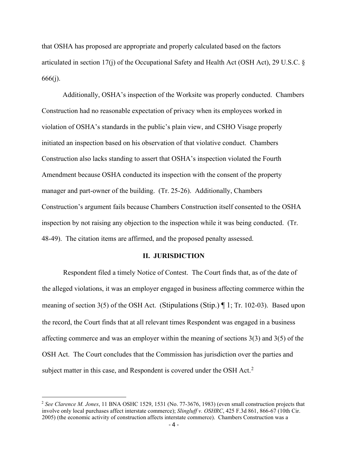that OSHA has proposed are appropriate and properly calculated based on the factors articulated in section 17(j) of the Occupational Safety and Health Act (OSH Act), 29 U.S.C. § 666(j).

Additionally, OSHA's inspection of the Worksite was properly conducted. Chambers Construction had no reasonable expectation of privacy when its employees worked in violation of OSHA's standards in the public's plain view, and CSHO Visage properly initiated an inspection based on his observation of that violative conduct. Chambers Construction also lacks standing to assert that OSHA's inspection violated the Fourth Amendment because OSHA conducted its inspection with the consent of the property manager and part-owner of the building. (Tr. 25-26). Additionally, Chambers Construction's argument fails because Chambers Construction itself consented to the OSHA inspection by not raising any objection to the inspection while it was being conducted. (Tr. 48-49). The citation items are affirmed, and the proposed penalty assessed.

#### **II. JURISDICTION**

Respondent filed a timely Notice of Contest. The Court finds that, as of the date of the alleged violations, it was an employer engaged in business affecting commerce within the meaning of section 3(5) of the OSH Act. (Stipulations (Stip.) ¶ 1; Tr. 102-03). Based upon the record, the Court finds that at all relevant times Respondent was engaged in a business affecting commerce and was an employer within the meaning of sections 3(3) and 3(5) of the OSH Act. The Court concludes that the Commission has jurisdiction over the parties and subject matter in this case, and Respondent is covered under the OSH Act.<sup>[2](#page-3-0)</sup>

<span id="page-3-0"></span><sup>2</sup> *See Clarence M. Jones*, 11 BNA OSHC 1529, 1531 (No. 77-3676, 1983) (even small construction projects that involve only local purchases affect interstate commerce); *Slingluff v. OSHRC*, 425 F.3d 861, 866-67 (10th Cir. 2005) (the economic activity of construction affects interstate commerce). Chambers Construction was a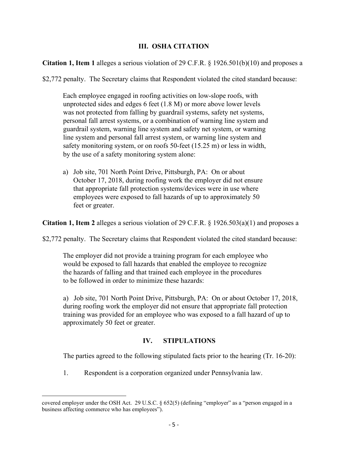## **III. OSHA CITATION**

**Citation 1, Item 1** alleges a serious violation of 29 C.F.R. § 1926.501(b)(10) and proposes a

\$2,772 penalty. The Secretary claims that Respondent violated the cited standard because:

Each employee engaged in roofing activities on low-slope roofs, with unprotected sides and edges 6 feet (1.8 M) or more above lower levels was not protected from falling by guardrail systems, safety net systems, personal fall arrest systems, or a combination of warning line system and guardrail system, warning line system and safety net system, or warning line system and personal fall arrest system, or warning line system and safety monitoring system, or on roofs 50-feet (15.25 m) or less in width, by the use of a safety monitoring system alone:

a) Job site, 701 North Point Drive, Pittsburgh, PA: On or about October 17, 2018, during roofing work the employer did not ensure that appropriate fall protection systems/devices were in use where employees were exposed to fall hazards of up to approximately 50 feet or greater.

**Citation 1, Item 2** alleges a serious violation of 29 C.F.R. § 1926.503(a)(1) and proposes a

\$2,772 penalty. The Secretary claims that Respondent violated the cited standard because:

The employer did not provide a training program for each employee who would be exposed to fall hazards that enabled the employee to recognize the hazards of falling and that trained each employee in the procedures to be followed in order to minimize these hazards:

a) Job site, 701 North Point Drive, Pittsburgh, PA: On or about October 17, 2018, during roofing work the employer did not ensure that appropriate fall protection training was provided for an employee who was exposed to a fall hazard of up to approximately 50 feet or greater.

# **IV. STIPULATIONS**

The parties agreed to the following stipulated facts prior to the hearing (Tr. 16-20):

1. Respondent is a corporation organized under Pennsylvania law.

covered employer under the OSH Act. 29 U.S.C. § 652(5) (defining "employer" as a "person engaged in a business affecting commerce who has employees").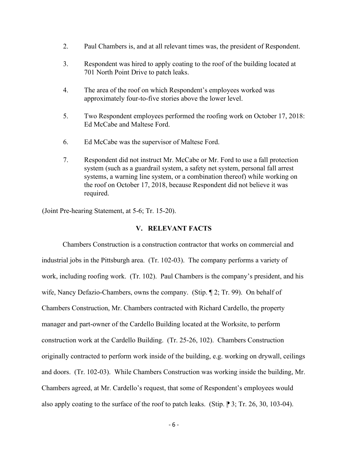- 2. Paul Chambers is, and at all relevant times was, the president of Respondent.
- 3. Respondent was hired to apply coating to the roof of the building located at 701 North Point Drive to patch leaks.
- 4. The area of the roof on which Respondent's employees worked was approximately four-to-five stories above the lower level.
- 5. Two Respondent employees performed the roofing work on October 17, 2018: Ed McCabe and Maltese Ford.
- 6. Ed McCabe was the supervisor of Maltese Ford.
- 7. Respondent did not instruct Mr. McCabe or Mr. Ford to use a fall protection system (such as a guardrail system, a safety net system, personal fall arrest systems, a warning line system, or a combination thereof) while working on the roof on October 17, 2018, because Respondent did not believe it was required.

(Joint Pre-hearing Statement, at 5-6; Tr. 15-20).

### **V. RELEVANT FACTS**

Chambers Construction is a construction contractor that works on commercial and industrial jobs in the Pittsburgh area. (Tr. 102-03). The company performs a variety of work, including roofing work. (Tr. 102). Paul Chambers is the company's president, and his wife, Nancy Defazio-Chambers, owns the company. (Stip. ¶ 2; Tr. 99). On behalf of Chambers Construction, Mr. Chambers contracted with Richard Cardello, the property manager and part-owner of the Cardello Building located at the Worksite, to perform construction work at the Cardello Building. (Tr. 25-26, 102). Chambers Construction originally contracted to perform work inside of the building, e.g. working on drywall, ceilings and doors. (Tr. 102-03). While Chambers Construction was working inside the building, Mr. Chambers agreed, at Mr. Cardello's request, that some of Respondent's employees would also apply coating to the surface of the roof to patch leaks. (Stip.  $\parallel$  3; Tr. 26, 30, 103-04).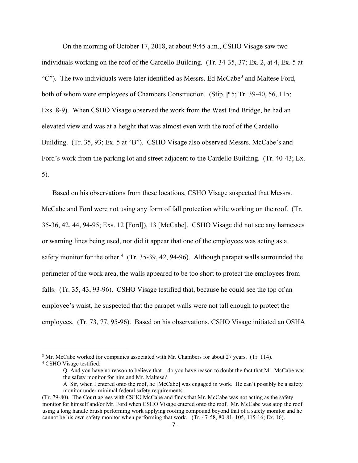On the morning of October 17, 2018, at about 9:45 a.m., CSHO Visage saw two individuals working on the roof of the Cardello Building. (Tr. 34-35, 37; Ex. 2, at 4, Ex. 5 at "C"). The two individuals were later identified as Messrs. Ed McCabe<sup>[3](#page-6-0)</sup> and Maltese Ford, both of whom were employees of Chambers Construction. (Stip.  $\triangleright$  5; Tr. 39-40, 56, 115; Exs. 8-9). When CSHO Visage observed the work from the West End Bridge, he had an elevated view and was at a height that was almost even with the roof of the Cardello Building. (Tr. 35, 93; Ex. 5 at "B"). CSHO Visage also observed Messrs. McCabe's and Ford's work from the parking lot and street adjacent to the Cardello Building. (Tr. 40-43; Ex. 5).

Based on his observations from these locations, CSHO Visage suspected that Messrs. McCabe and Ford were not using any form of fall protection while working on the roof. (Tr. 35-36, 42, 44, 94-95; Exs. 12 [Ford]), 13 [McCabe]. CSHO Visage did not see any harnesses or warning lines being used, nor did it appear that one of the employees was acting as a safety monitor for the other. $4$  (Tr. 35-39, 42, 94-96). Although parapet walls surrounded the perimeter of the work area, the walls appeared to be too short to protect the employees from falls. (Tr. 35, 43, 93-96). CSHO Visage testified that, because he could see the top of an employee's waist, he suspected that the parapet walls were not tall enough to protect the employees. (Tr. 73, 77, 95-96). Based on his observations, CSHO Visage initiated an OSHA

<span id="page-6-0"></span><sup>&</sup>lt;sup>3</sup> Mr. McCabe worked for companies associated with Mr. Chambers for about 27 years. (Tr. 114).

<span id="page-6-1"></span><sup>4</sup> CSHO Visage testified:

Q And you have no reason to believe that – do you have reason to doubt the fact that Mr. McCabe was the safety monitor for him and Mr. Maltese?

A Sir, when I entered onto the roof, he [McCabe] was engaged in work. He can't possibly be a safety monitor under minimal federal safety requirements.

<sup>(</sup>Tr. 79-80). The Court agrees with CSHO McCabe and finds that Mr. McCabe was not acting as the safety monitor for himself and/or Mr. Ford when CSHO Visage entered onto the roof. Mr. McCabe was atop the roof using a long handle brush performing work applying roofing compound beyond that of a safety monitor and he cannot be his own safety monitor when performing that work. (Tr. 47-58, 80-81, 105, 115-16; Ex. 16).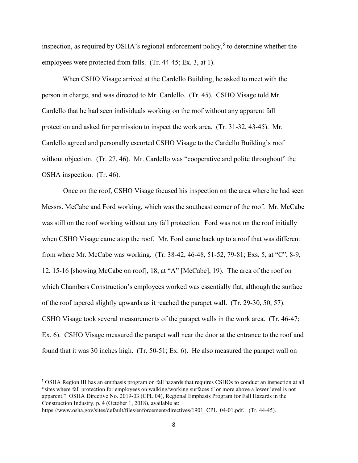inspection, as required by OSHA's regional enforcement policy,<sup>[5](#page-7-0)</sup> to determine whether the employees were protected from falls. (Tr. 44-45; Ex. 3, at 1).

When CSHO Visage arrived at the Cardello Building, he asked to meet with the person in charge, and was directed to Mr. Cardello. (Tr. 45). CSHO Visage told Mr. Cardello that he had seen individuals working on the roof without any apparent fall protection and asked for permission to inspect the work area. (Tr. 31-32, 43-45). Mr. Cardello agreed and personally escorted CSHO Visage to the Cardello Building's roof without objection. (Tr. 27, 46). Mr. Cardello was "cooperative and polite throughout" the OSHA inspection. (Tr. 46).

Once on the roof, CSHO Visage focused his inspection on the area where he had seen Messrs. McCabe and Ford working, which was the southeast corner of the roof. Mr. McCabe was still on the roof working without any fall protection. Ford was not on the roof initially when CSHO Visage came atop the roof. Mr. Ford came back up to a roof that was different from where Mr. McCabe was working. (Tr. 38-42, 46-48, 51-52, 79-81; Exs. 5, at "C", 8-9, 12, 15-16 [showing McCabe on roof], 18, at "A" [McCabe], 19). The area of the roof on which Chambers Construction's employees worked was essentially flat, although the surface of the roof tapered slightly upwards as it reached the parapet wall. (Tr. 29-30, 50, 57). CSHO Visage took several measurements of the parapet walls in the work area. (Tr. 46-47; Ex. 6). CSHO Visage measured the parapet wall near the door at the entrance to the roof and found that it was 30 inches high. (Tr. 50-51; Ex. 6). He also measured the parapet wall on

<span id="page-7-0"></span><sup>5</sup> OSHA Region III has an emphasis program on fall hazards that requires CSHOs to conduct an inspection at all "sites where fall protection for employees on walking/working surfaces 6' or more above a lower level is not apparent." OSHA Directive No. 2019-03 (CPL 04), Regional Emphasis Program for Fall Hazards in the Construction Industry, p. 4 (October 1, 2018), available at: https://www.osha.gov/sites/default/files/enforcement/directives/1901 CPL 04-01.pdf. (Tr. 44-45).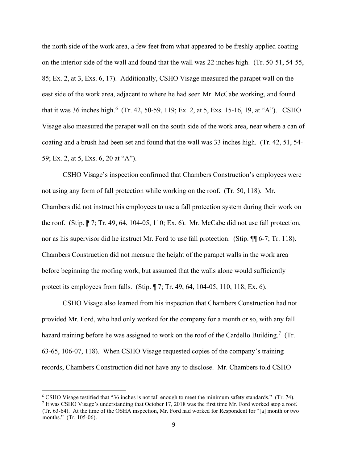the north side of the work area, a few feet from what appeared to be freshly applied coating on the interior side of the wall and found that the wall was 22 inches high. (Tr. 50-51, 54-55, 85; Ex. 2, at 3, Exs. 6, 17). Additionally, CSHO Visage measured the parapet wall on the east side of the work area, adjacent to where he had seen Mr. McCabe working, and found that it was 3[6](#page-8-0) inches high.<sup>6</sup> (Tr. 42, 50-59, 119; Ex. 2, at 5, Exs. 15-16, 19, at "A"). CSHO Visage also measured the parapet wall on the south side of the work area, near where a can of coating and a brush had been set and found that the wall was 33 inches high. (Tr. 42, 51, 54- 59; Ex. 2, at 5, Exs. 6, 20 at "A").

CSHO Visage's inspection confirmed that Chambers Construction's employees were not using any form of fall protection while working on the roof. (Tr. 50, 118). Mr. Chambers did not instruct his employees to use a fall protection system during their work on the roof. (Stip.  $\sqrt{7}$ ; Tr. 49, 64, 104-05, 110; Ex. 6). Mr. McCabe did not use fall protection, nor as his supervisor did he instruct Mr. Ford to use fall protection. (Stip.  $\P$  6-7; Tr. 118). Chambers Construction did not measure the height of the parapet walls in the work area before beginning the roofing work, but assumed that the walls alone would sufficiently protect its employees from falls. (Stip. ¶ 7; Tr. 49, 64, 104-05, 110, 118; Ex. 6).

CSHO Visage also learned from his inspection that Chambers Construction had not provided Mr. Ford, who had only worked for the company for a month or so, with any fall hazard training before he was assigned to work on the roof of the Cardello Building.<sup>[7](#page-8-1)</sup> (Tr. 63-65, 106-07, 118). When CSHO Visage requested copies of the company's training records, Chambers Construction did not have any to disclose. Mr. Chambers told CSHO

<span id="page-8-1"></span><span id="page-8-0"></span><sup>&</sup>lt;sup>6</sup> CSHO Visage testified that "36 inches is not tall enough to meet the minimum safety standards." (Tr. 74).<br><sup>7</sup> It was CSHO Visage's understanding that October 17, 2018 was the first time Mr. Ford worked atop a roof. (Tr. 63-64). At the time of the OSHA inspection, Mr. Ford had worked for Respondent for "[a] month or two months." (Tr. 105-06).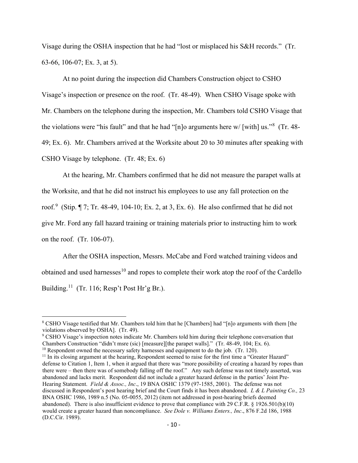Visage during the OSHA inspection that he had "lost or misplaced his S&H records." (Tr. 63-66, 106-07; Ex. 3, at 5).

At no point during the inspection did Chambers Construction object to CSHO Visage's inspection or presence on the roof. (Tr. 48-49). When CSHO Visage spoke with Mr. Chambers on the telephone during the inspection, Mr. Chambers told CSHO Visage that the violations were "his fault" and that he had "[n]o arguments here w/ [with] us."<sup>[8](#page-9-0)</sup> (Tr. 48-49; Ex. 6). Mr. Chambers arrived at the Worksite about 20 to 30 minutes after speaking with CSHO Visage by telephone. (Tr. 48; Ex. 6)

At the hearing, Mr. Chambers confirmed that he did not measure the parapet walls at the Worksite, and that he did not instruct his employees to use any fall protection on the roof.<sup>[9](#page-9-1)</sup> (Stip.  $\P$  7; Tr. 48-49, 104-10; Ex. 2, at 3, Ex. 6). He also confirmed that he did not give Mr. Ford any fall hazard training or training materials prior to instructing him to work on the roof. (Tr. 106-07).

After the OSHA inspection, Messrs. McCabe and Ford watched training videos and obtained and used harnesses<sup>10</sup> and ropes to complete their work atop the roof of the Cardello Building.<sup>11</sup> (Tr. 116; Resp't Post Hr'g Br.).

<span id="page-9-1"></span><sup>9</sup> CSHO Visage's inspection notes indicate Mr. Chambers told him during their telephone conversation that Chambers Construction "didn't msre (sic) [measure][the parapet walls]." (Tr. 48-49, 104; Ex. 6).

<span id="page-9-0"></span><sup>8</sup> CSHO Visage testified that Mr. Chambers told him that he [Chambers] had "[n]o arguments with them [the violations observed by OSHA]. (Tr. 49).

<span id="page-9-2"></span> $10$  Respondent owned the necessary safety harnesses and equipment to do the job. (Tr. 120).

<span id="page-9-3"></span><sup>&</sup>lt;sup>11</sup> In its closing argument at the hearing, Respondent seemed to raise for the first time a "Greater Hazard" defense to Citation 1, Item 1, when it argued that there was "more possibility of creating a hazard by ropes than there were – then there was of somebody falling off the roof." Any such defense was not timely asserted, was abandoned and lacks merit. Respondent did not include a greater hazard defense in the parties' Joint Pre-Hearing Statement. *Field & Assoc., Inc*., 19 BNA OSHC 1379 (97-1585, 2001). The defense was not discussed in Respondent's post hearing brief and the Court finds it has been abandoned. *L & L Painting Co.,* 23 BNA OSHC 1986, 1989 n.5 (No. 05-0055, 2012) (item not addressed in post-hearing briefs deemed abandoned). There is also insufficient evidence to prove that compliance with 29 C.F.R. § 1926.501(b)(10) would create a greater hazard than noncompliance. *See Dole v. Williams Enters., Inc*., 876 F.2d 186, 1988 (D.C.Cir. 1989).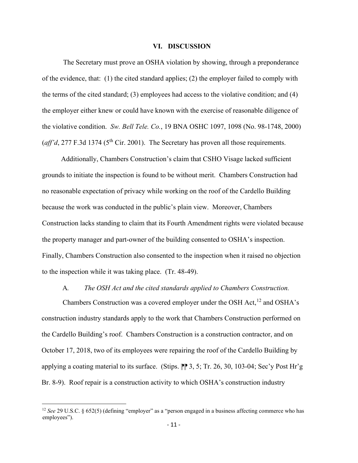#### **VI. DISCUSSION**

The Secretary must prove an OSHA violation by showing, through a preponderance of the evidence, that: (1) the cited standard applies; (2) the employer failed to comply with the terms of the cited standard; (3) employees had access to the violative condition; and (4) the employer either knew or could have known with the exercise of reasonable diligence of the violative condition. *Sw. Bell Tele. Co.*, 19 BNA OSHC 1097, 1098 (No. 98-1748, 2000)  $(a$ ff'd, 277 F.3d 1374 (5<sup>th</sup> Cir. 2001). The Secretary has proven all those requirements.

 Additionally, Chambers Construction's claim that CSHO Visage lacked sufficient grounds to initiate the inspection is found to be without merit. Chambers Construction had no reasonable expectation of privacy while working on the roof of the Cardello Building because the work was conducted in the public's plain view. Moreover, Chambers Construction lacks standing to claim that its Fourth Amendment rights were violated because the property manager and part-owner of the building consented to OSHA's inspection. Finally, Chambers Construction also consented to the inspection when it raised no objection to the inspection while it was taking place. (Tr. 48-49).

#### A*. The OSH Act and the cited standards applied to Chambers Construction.*

Chambers Construction was a covered employer under the OSH Act,  $^{12}$  $^{12}$  $^{12}$  and OSHA's construction industry standards apply to the work that Chambers Construction performed on the Cardello Building's roof. Chambers Construction is a construction contractor, and on October 17, 2018, two of its employees were repairing the roof of the Cardello Building by applying a coating material to its surface. (Stips.  $\mathbb{P}$  3, 5; Tr. 26, 30, 103-04; Sec'y Post Hr'g Br. 8-9). Roof repair is a construction activity to which OSHA's construction industry

<span id="page-10-0"></span><sup>&</sup>lt;sup>12</sup> *See* 29 U.S.C. § 652(5) (defining "employer" as a "person engaged in a business affecting commerce who has employees").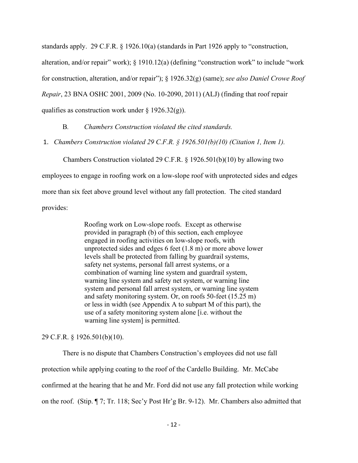standards apply. 29 C.F.R. § 1926.10(a) (standards in Part 1926 apply to "construction, alteration, and/or repair" work); § 1910.12(a) (defining "construction work" to include "work for construction, alteration, and/or repair"); § 1926.32(g) (same); *see also Daniel Crowe Roof Repair*, 23 BNA OSHC 2001, 2009 (No. 10-2090, 2011) (ALJ) (finding that roof repair qualifies as construction work under  $\S 1926.32(g)$ ).

B*. Chambers Construction violated the cited standards.* 

1. *Chambers Construction violated 29 C.F.R. § 1926.501(b)(10) (Citation 1, Item 1).* 

Chambers Construction violated 29 C.F.R. § 1926.501(b)(10) by allowing two

employees to engage in roofing work on a low-slope roof with unprotected sides and edges

more than six feet above ground level without any fall protection. The cited standard

provides:

Roofing work on Low-slope roofs. Except as otherwise provided in paragraph (b) of this section, each employee engaged in roofing activities on low-slope roofs, with unprotected sides and edges 6 feet (1.8 m) or more above lower levels shall be protected from falling by guardrail systems, safety net systems, personal fall arrest systems, or a combination of warning line system and guardrail system, warning line system and safety net system, or warning line system and personal fall arrest system, or warning line system and safety monitoring system. Or, on roofs 50-feet (15.25 m) or less in width (see Appendix A to subpart M of this part), the use of a safety monitoring system alone [i.e. without the warning line system] is permitted.

29 C.F.R. § 1926.501(b)(10).

There is no dispute that Chambers Construction's employees did not use fall protection while applying coating to the roof of the Cardello Building. Mr. McCabe confirmed at the hearing that he and Mr. Ford did not use any fall protection while working on the roof. (Stip. ¶ 7; Tr. 118; Sec'y Post Hr'g Br. 9-12). Mr. Chambers also admitted that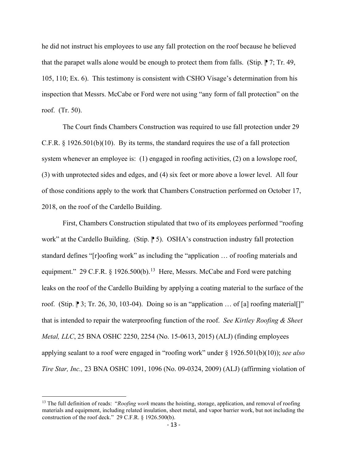he did not instruct his employees to use any fall protection on the roof because he believed that the parapet walls alone would be enough to protect them from falls. (Stip.  $\mathbb{P}7$ ; Tr. 49, 105, 110; Ex. 6). This testimony is consistent with CSHO Visage's determination from his inspection that Messrs. McCabe or Ford were not using "any form of fall protection" on the roof. (Tr. 50).

The Court finds Chambers Construction was required to use fall protection under 29 C.F.R. § 1926.501(b)(10). By its terms, the standard requires the use of a fall protection system whenever an employee is: (1) engaged in roofing activities, (2) on a lowslope roof, (3) with unprotected sides and edges, and (4) six feet or more above a lower level. All four of those conditions apply to the work that Chambers Construction performed on October 17, 2018, on the roof of the Cardello Building.

First, Chambers Construction stipulated that two of its employees performed "roofing work" at the Cardello Building. (Stip. 1015). OSHA's construction industry fall protection standard defines "[r]oofing work" as including the "application … of roofing materials and equipment." 29 C.F.R. § 1926.500(b).<sup>13</sup> Here, Messrs. McCabe and Ford were patching leaks on the roof of the Cardello Building by applying a coating material to the surface of the roof. (Stip.  $\mathbb{P}3$ ; Tr. 26, 30, 103-04). Doing so is an "application ... of [a] roofing material []" that is intended to repair the waterproofing function of the roof. *See Kirtley Roofing & Sheet Metal, LLC*, 25 BNA OSHC 2250, 2254 (No. 15-0613, 2015) (ALJ) (finding employees applying sealant to a roof were engaged in "roofing work" under § 1926.501(b)(10)); *see also Tire Star, Inc.,* 23 BNA OSHC 1091, 1096 (No. 09-0324, 2009) (ALJ) (affirming violation of

<span id="page-12-0"></span><sup>&</sup>lt;sup>13</sup> The full definition of reads: "*Roofing work* means the hoisting, storage, application, and removal of roofing materials and equipment, including related insulation, sheet metal, and vapor barrier work, but not including the construction of the roof deck." 29 C.F.R. § 1926.500(b).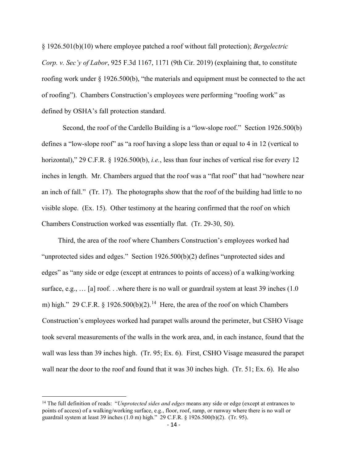§ 1926.501(b)(10) where employee patched a roof without fall protection); *Bergelectric Corp. v. Sec'y of Labor*, 925 F.3d 1167, 1171 (9th Cir. 2019) (explaining that, to constitute roofing work under  $\S 1926.500(b)$ , "the materials and equipment must be connected to the act of roofing"). Chambers Construction's employees were performing "roofing work" as defined by OSHA's fall protection standard.

Second, the roof of the Cardello Building is a "low-slope roof." Section 1926.500(b) defines a "low-slope roof" as "a roof having a slope less than or equal to 4 in 12 (vertical to horizontal)," 29 C.F.R. § 1926.500(b), *i.e.*, less than four inches of vertical rise for every 12 inches in length. Mr. Chambers argued that the roof was a "flat roof" that had "nowhere near an inch of fall." (Tr. 17). The photographs show that the roof of the building had little to no visible slope. (Ex. 15). Other testimony at the hearing confirmed that the roof on which Chambers Construction worked was essentially flat. (Tr. 29-30, 50).

Third, the area of the roof where Chambers Construction's employees worked had "unprotected sides and edges." Section 1926.500(b)(2) defines "unprotected sides and edges" as "any side or edge (except at entrances to points of access) of a walking/working surface, e.g., ... [a] roof... where there is no wall or guardrail system at least 39 inches (1.0) m) high." 29 C.F.R. § 1926.500(b)(2).<sup>[14](#page-13-0)</sup> Here, the area of the roof on which Chambers Construction's employees worked had parapet walls around the perimeter, but CSHO Visage took several measurements of the walls in the work area, and, in each instance, found that the wall was less than 39 inches high. (Tr. 95; Ex. 6). First, CSHO Visage measured the parapet wall near the door to the roof and found that it was 30 inches high. (Tr. 51; Ex. 6). He also

<span id="page-13-0"></span><sup>14</sup> The full definition of reads: "*Unprotected sides and edges* means any side or edge (except at entrances to points of access) of a walking/working surface, e.g., floor, roof, ramp, or runway where there is no wall or guardrail system at least 39 inches (1.0 m) high." 29 C.F.R. § 1926.500(b)(2). (Tr. 95).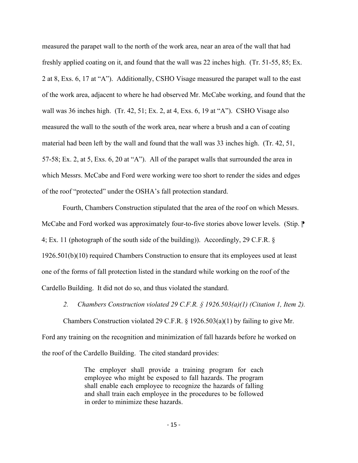measured the parapet wall to the north of the work area, near an area of the wall that had freshly applied coating on it, and found that the wall was 22 inches high. (Tr. 51-55, 85; Ex. 2 at 8, Exs. 6, 17 at "A"). Additionally, CSHO Visage measured the parapet wall to the east of the work area, adjacent to where he had observed Mr. McCabe working, and found that the wall was 36 inches high. (Tr. 42, 51; Ex. 2, at 4, Exs. 6, 19 at "A"). CSHO Visage also measured the wall to the south of the work area, near where a brush and a can of coating material had been left by the wall and found that the wall was 33 inches high. (Tr. 42, 51, 57-58; Ex. 2, at 5, Exs. 6, 20 at "A"). All of the parapet walls that surrounded the area in which Messrs. McCabe and Ford were working were too short to render the sides and edges of the roof "protected" under the OSHA's fall protection standard.

Fourth, Chambers Construction stipulated that the area of the roof on which Messrs. McCabe and Ford worked was approximately four-to-five stories above lower levels. (Stip.  $\mathbb{P}$ ) 4; Ex. 11 (photograph of the south side of the building)). Accordingly, 29 C.F.R. § 1926.501(b)(10) required Chambers Construction to ensure that its employees used at least one of the forms of fall protection listed in the standard while working on the roof of the Cardello Building. It did not do so, and thus violated the standard.

*2. Chambers Construction violated 29 C.F.R. § 1926.503(a)(1) (Citation 1, Item 2).* 

Chambers Construction violated 29 C.F.R.  $\S$  1926.503(a)(1) by failing to give Mr. Ford any training on the recognition and minimization of fall hazards before he worked on the roof of the Cardello Building. The cited standard provides:

> The employer shall provide a training program for each employee who might be exposed to fall hazards. The program shall enable each employee to recognize the hazards of falling and shall train each employee in the procedures to be followed in order to minimize these hazards.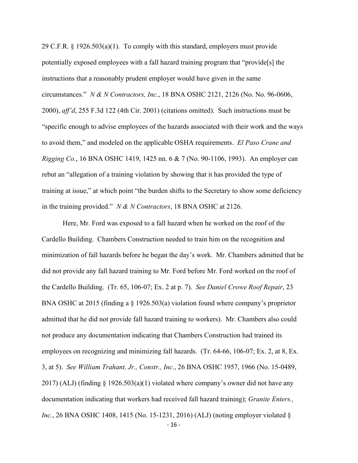29 C.F.R. § 1926.503(a)(1). To comply with this standard, employers must provide potentially exposed employees with a fall hazard training program that "provide[s] the instructions that a reasonably prudent employer would have given in the same circumstances." *N & N Contractors, Inc.*, 18 BNA OSHC 2121, 2126 (No. No. 96-0606, 2000), *aff'd*, 255 F.3d 122 (4th Cir. 2001) (citations omitted). Such instructions must be "specific enough to advise employees of the hazards associated with their work and the ways to avoid them," and modeled on the applicable OSHA requirements. *El Paso Crane and Rigging Co.*, 16 BNA OSHC 1419, 1425 nn. 6 & 7 (No. 90-1106, 1993). An employer can rebut an "allegation of a training violation by showing that it has provided the type of training at issue," at which point "the burden shifts to the Secretary to show some deficiency in the training provided." *N & N Contractors*, 18 BNA OSHC at 2126.

- 16 - Here, Mr. Ford was exposed to a fall hazard when he worked on the roof of the Cardello Building. Chambers Construction needed to train him on the recognition and minimization of fall hazards before he began the day's work. Mr. Chambers admitted that he did not provide any fall hazard training to Mr. Ford before Mr. Ford worked on the roof of the Cardello Building. (Tr. 65, 106-07; Ex. 2 at p. 7). *See Daniel Crowe Roof Repair*, 23 BNA OSHC at 2015 (finding a § 1926.503(a) violation found where company's proprietor admitted that he did not provide fall hazard training to workers). Mr. Chambers also could not produce any documentation indicating that Chambers Construction had trained its employees on recognizing and minimizing fall hazards. (Tr. 64-66, 106-07; Ex. 2, at 8, Ex. 3, at 5). *See William Trahant, Jr., Constr., Inc.*, 26 BNA OSHC 1957, 1966 (No. 15-0489, 2017) (ALJ) (finding § 1926.503(a)(1) violated where company's owner did not have any documentation indicating that workers had received fall hazard training); *Granite Enters., Inc.*, 26 BNA OSHC 1408, 1415 (No. 15-1231, 2016) (ALJ) (noting employer violated §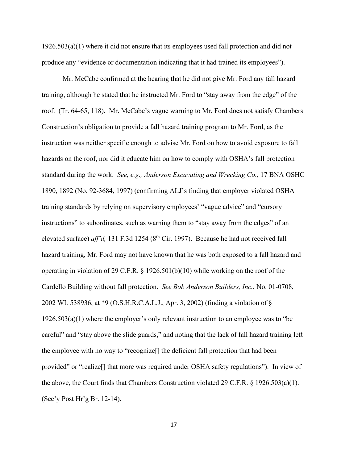1926.503(a)(1) where it did not ensure that its employees used fall protection and did not produce any "evidence or documentation indicating that it had trained its employees").

Mr. McCabe confirmed at the hearing that he did not give Mr. Ford any fall hazard training, although he stated that he instructed Mr. Ford to "stay away from the edge" of the roof. (Tr. 64-65, 118). Mr. McCabe's vague warning to Mr. Ford does not satisfy Chambers Construction's obligation to provide a fall hazard training program to Mr. Ford, as the instruction was neither specific enough to advise Mr. Ford on how to avoid exposure to fall hazards on the roof, nor did it educate him on how to comply with OSHA's fall protection standard during the work. *See, e.g., Anderson Excavating and Wrecking Co.*, 17 BNA OSHC 1890, 1892 (No. 92-3684, 1997) (confirming ALJ's finding that employer violated OSHA training standards by relying on supervisory employees' "vague advice" and "cursory instructions" to subordinates, such as warning them to "stay away from the edges" of an elevated surface) *aff'd*, 131 F.3d 1254 (8<sup>th</sup> Cir. 1997). Because he had not received fall hazard training, Mr. Ford may not have known that he was both exposed to a fall hazard and operating in violation of 29 C.F.R. § 1926.501(b)(10) while working on the roof of the Cardello Building without fall protection. *See Bob Anderson Builders, Inc.*, No. 01-0708, 2002 WL 538936, at \*9 (O.S.H.R.C.A.L.J., Apr. 3, 2002) (finding a violation of § 1926.503(a)(1) where the employer's only relevant instruction to an employee was to "be careful" and "stay above the slide guards," and noting that the lack of fall hazard training left the employee with no way to "recognize[] the deficient fall protection that had been provided" or "realize[] that more was required under OSHA safety regulations"). In view of the above, the Court finds that Chambers Construction violated 29 C.F.R. § 1926.503(a)(1). (Sec'y Post Hr'g Br. 12-14).

- 17 -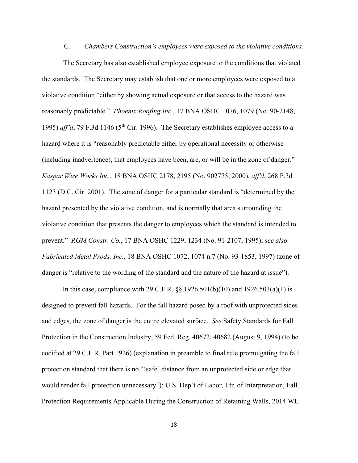### C*. Chambers Construction's employees were exposed to the violative conditions.*

 The Secretary has also established employee exposure to the conditions that violated the standards. The Secretary may establish that one or more employees were exposed to a violative condition "either by showing actual exposure or that access to the hazard was reasonably predictable." *Phoenix Roofing Inc.*, 17 BNA OSHC 1076, 1079 (No. 90-2148, 1995)  $aff'd$ , 79 F.3d 1146 (5<sup>th</sup> Cir. 1996). The Secretary establishes employee access to a hazard where it is "reasonably predictable either by operational necessity or otherwise (including inadvertence), that employees have been, are, or will be in the zone of danger." *Kaspar Wire Works Inc.*, 18 BNA OSHC 2178, 2195 (No. 902775, 2000), *aff'd*, 268 F.3d 1123 (D.C. Cir. 2001). The zone of danger for a particular standard is "determined by the hazard presented by the violative condition, and is normally that area surrounding the violative condition that presents the danger to employees which the standard is intended to prevent." *RGM Constr. Co.*, 17 BNA OSHC 1229, 1234 (No. 91-2107, 1995); *see also Fabricated Metal Prods. Inc.*, 18 BNA OSHC 1072, 1074 n.7 (No. 93-1853, 1997) (zone of danger is "relative to the wording of the standard and the nature of the hazard at issue").

In this case, compliance with 29 C.F.R.  $\S$ § 1926.501(b)(10) and 1926.503(a)(1) is designed to prevent fall hazards. For the fall hazard posed by a roof with unprotected sides and edges, the zone of danger is the entire elevated surface. *See* Safety Standards for Fall Protection in the Construction Industry, 59 Fed. Reg. 40672, 40682 (August 9, 1994) (to be codified at 29 C.F.R. Part 1926) (explanation in preamble to final rule promulgating the fall protection standard that there is no "'safe' distance from an unprotected side or edge that would render fall protection unnecessary"); U.S. Dep't of Labor, Ltr. of Interpretation, Fall Protection Requirements Applicable During the Construction of Retaining Walls, 2014 WL

- 18 -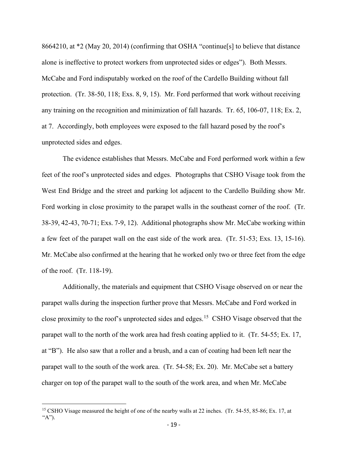8664210, at \*2 (May 20, 2014) (confirming that OSHA "continue[s] to believe that distance alone is ineffective to protect workers from unprotected sides or edges"). Both Messrs. McCabe and Ford indisputably worked on the roof of the Cardello Building without fall protection. (Tr. 38-50, 118; Exs. 8, 9, 15). Mr. Ford performed that work without receiving any training on the recognition and minimization of fall hazards. Tr. 65, 106-07, 118; Ex. 2, at 7. Accordingly, both employees were exposed to the fall hazard posed by the roof's unprotected sides and edges.

The evidence establishes that Messrs. McCabe and Ford performed work within a few feet of the roof's unprotected sides and edges. Photographs that CSHO Visage took from the West End Bridge and the street and parking lot adjacent to the Cardello Building show Mr. Ford working in close proximity to the parapet walls in the southeast corner of the roof. (Tr. 38-39, 42-43, 70-71; Exs. 7-9, 12). Additional photographs show Mr. McCabe working within a few feet of the parapet wall on the east side of the work area. (Tr. 51-53; Exs. 13, 15-16). Mr. McCabe also confirmed at the hearing that he worked only two or three feet from the edge of the roof. (Tr. 118-19).

Additionally, the materials and equipment that CSHO Visage observed on or near the parapet walls during the inspection further prove that Messrs. McCabe and Ford worked in close proximity to the roof's unprotected sides and edges.[15](#page-18-0) CSHO Visage observed that the parapet wall to the north of the work area had fresh coating applied to it. (Tr. 54-55; Ex. 17, at "B"). He also saw that a roller and a brush, and a can of coating had been left near the parapet wall to the south of the work area. (Tr. 54-58; Ex. 20). Mr. McCabe set a battery charger on top of the parapet wall to the south of the work area, and when Mr. McCabe

<span id="page-18-0"></span><sup>&</sup>lt;sup>15</sup> CSHO Visage measured the height of one of the nearby walls at 22 inches. (Tr. 54-55, 85-86; Ex. 17, at "A").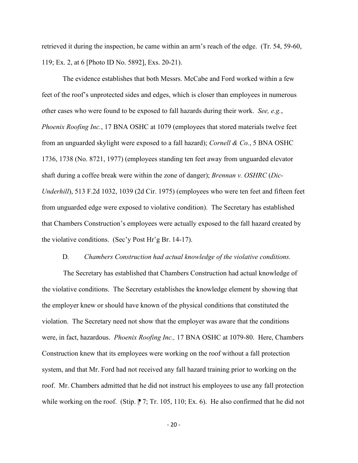retrieved it during the inspection, he came within an arm's reach of the edge. (Tr. 54, 59-60, 119; Ex. 2, at 6 [Photo ID No. 5892], Exs. 20-21).

The evidence establishes that both Messrs. McCabe and Ford worked within a few feet of the roof's unprotected sides and edges, which is closer than employees in numerous other cases who were found to be exposed to fall hazards during their work. *See, e.g.*, *Phoenix Roofing Inc.*, 17 BNA OSHC at 1079 (employees that stored materials twelve feet from an unguarded skylight were exposed to a fall hazard); *Cornell & Co.*, 5 BNA OSHC 1736, 1738 (No. 8721, 1977) (employees standing ten feet away from unguarded elevator shaft during a coffee break were within the zone of danger); *Brennan v. OSHRC* (*Dic-Underhill*), 513 F.2d 1032, 1039 (2d Cir. 1975) (employees who were ten feet and fifteen feet from unguarded edge were exposed to violative condition). The Secretary has established that Chambers Construction's employees were actually exposed to the fall hazard created by the violative conditions. (Sec'y Post Hr'g Br. 14-17).

#### D*. Chambers Construction had actual knowledge of the violative conditions.*

 The Secretary has established that Chambers Construction had actual knowledge of the violative conditions. The Secretary establishes the knowledge element by showing that the employer knew or should have known of the physical conditions that constituted the violation. The Secretary need not show that the employer was aware that the conditions were, in fact, hazardous. *Phoenix Roofing Inc.,* 17 BNA OSHC at 1079-80. Here, Chambers Construction knew that its employees were working on the roof without a fall protection system, and that Mr. Ford had not received any fall hazard training prior to working on the roof. Mr. Chambers admitted that he did not instruct his employees to use any fall protection while working on the roof. (Stip.  $\mid \mid$  7; Tr. 105, 110; Ex. 6). He also confirmed that he did not

- 20 -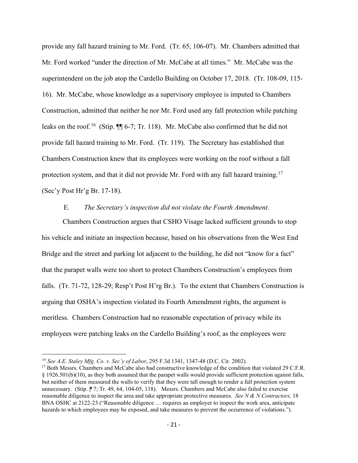provide any fall hazard training to Mr. Ford. (Tr. 65, 106-07). Mr. Chambers admitted that Mr. Ford worked "under the direction of Mr. McCabe at all times." Mr. McCabe was the superintendent on the job atop the Cardello Building on October 17, 2018. (Tr. 108-09, 115- 16). Mr. McCabe, whose knowledge as a supervisory employee is imputed to Chambers Construction, admitted that neither he nor Mr. Ford used any fall protection while patching leaks on the roof.<sup>16</sup> (Stip.  $\P\P$  6-7; Tr. 118). Mr. McCabe also confirmed that he did not provide fall hazard training to Mr. Ford. (Tr. 119). The Secretary has established that Chambers Construction knew that its employees were working on the roof without a fall protection system, and that it did not provide Mr. Ford with any fall hazard training.<sup>17</sup> (Sec'y Post Hr'g Br. 17-18).

### E*. The Secretary's inspection did not violate the Fourth Amendment.*

Chambers Construction argues that CSHO Visage lacked sufficient grounds to stop his vehicle and initiate an inspection because, based on his observations from the West End Bridge and the street and parking lot adjacent to the building, he did not "know for a fact" that the parapet walls were too short to protect Chambers Construction's employees from falls. (Tr. 71-72, 128-29; Resp't Post H'rg Br.). To the extent that Chambers Construction is arguing that OSHA's inspection violated its Fourth Amendment rights, the argument is meritless. Chambers Construction had no reasonable expectation of privacy while its employees were patching leaks on the Cardello Building's roof, as the employees were

<span id="page-20-0"></span><sup>16</sup> *See A.E. Staley Mfg. Co. v. Sec'y of Labor*, 295 F.3d 1341, 1347-48 (D.C. Cir. 2002).

<span id="page-20-1"></span><sup>&</sup>lt;sup>17</sup> Both Messrs. Chambers and McCabe also had constructive knowledge of the condition that violated 29 C.F.R. § 1926.501(b)(10), as they both assumed that the parapet walls would provide sufficient protection against falls, but neither of them measured the walls to verify that they were tall enough to render a fall protection system unnecessary. (Stip.  $\upharpoonright$  7; Tr. 49, 64, 104-05, 118). Messrs. Chambers and McCabe also failed to exercise reasonable diligence to inspect the area and take appropriate protective measures. *See N & N Contractors,* 18 BNA OSHC at 2122-23 ("Reasonable diligence … requires an employer to inspect the work area, anticipate hazards to which employees may be exposed, and take measures to prevent the occurrence of violations.").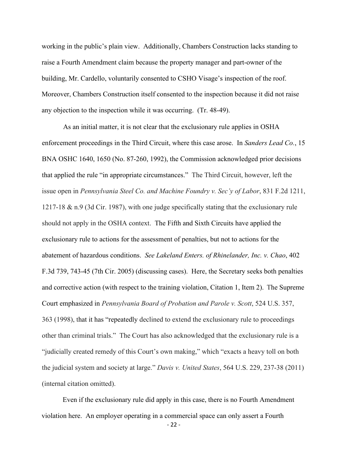working in the public's plain view. Additionally, Chambers Construction lacks standing to raise a Fourth Amendment claim because the property manager and part-owner of the building, Mr. Cardello, voluntarily consented to CSHO Visage's inspection of the roof. Moreover, Chambers Construction itself consented to the inspection because it did not raise any objection to the inspection while it was occurring. (Tr. 48-49).

 As an initial matter, it is not clear that the exclusionary rule applies in OSHA enforcement proceedings in the Third Circuit, where this case arose. In *Sanders Lead Co.*, 15 BNA OSHC 1640, 1650 (No. 87-260, 1992), the Commission acknowledged prior decisions that applied the rule "in appropriate circumstances." The Third Circuit, however, left the issue open in *Pennsylvania Steel Co. and Machine Foundry v. Sec'y of Labor*, 831 F.2d 1211, 1217-18 & n.9 (3d Cir. 1987), with one judge specifically stating that the exclusionary rule should not apply in the OSHA context. The Fifth and Sixth Circuits have applied the exclusionary rule to actions for the assessment of penalties, but not to actions for the abatement of hazardous conditions. *See Lakeland Enters. of Rhinelander, Inc. v. Chao*, 402 F.3d 739, 743-45 (7th Cir. 2005) (discussing cases). Here, the Secretary seeks both penalties and corrective action (with respect to the training violation, Citation 1, Item 2). The Supreme Court emphasized in *Pennsylvania Board of Probation and Parole v. Scott*, 524 U.S. 357, 363 (1998), that it has "repeatedly declined to extend the exclusionary rule to proceedings other than criminal trials." The Court has also acknowledged that the exclusionary rule is a "judicially created remedy of this Court's own making," which "exacts a heavy toll on both the judicial system and society at large." *Davis v. United States*, 564 U.S. 229, 237-38 (2011) (internal citation omitted).

- 22 - Even if the exclusionary rule did apply in this case, there is no Fourth Amendment violation here. An employer operating in a commercial space can only assert a Fourth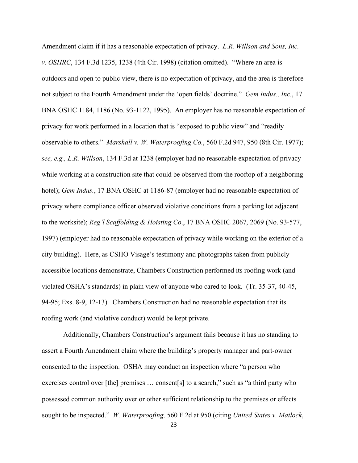Amendment claim if it has a reasonable expectation of privacy. *L.R. Willson and Sons, Inc. v. OSHRC*, 134 F.3d 1235, 1238 (4th Cir. 1998) (citation omitted). "Where an area is outdoors and open to public view, there is no expectation of privacy, and the area is therefore not subject to the Fourth Amendment under the 'open fields' doctrine." *Gem Indus., Inc.*, 17 BNA OSHC 1184, 1186 (No. 93-1122, 1995). An employer has no reasonable expectation of privacy for work performed in a location that is "exposed to public view" and "readily observable to others." *Marshall v. W. Waterproofing Co.*, 560 F.2d 947, 950 (8th Cir. 1977); *see, e.g., L.R. Willson*, 134 F.3d at 1238 (employer had no reasonable expectation of privacy while working at a construction site that could be observed from the rooftop of a neighboring hotel); *Gem Indus.*, 17 BNA OSHC at 1186-87 (employer had no reasonable expectation of privacy where compliance officer observed violative conditions from a parking lot adjacent to the worksite); *Reg'l Scaffolding & Hoisting Co*., 17 BNA OSHC 2067, 2069 (No. 93-577, 1997) (employer had no reasonable expectation of privacy while working on the exterior of a city building). Here, as CSHO Visage's testimony and photographs taken from publicly accessible locations demonstrate, Chambers Construction performed its roofing work (and violated OSHA's standards) in plain view of anyone who cared to look. (Tr. 35-37, 40-45, 94-95; Exs. 8-9, 12-13). Chambers Construction had no reasonable expectation that its roofing work (and violative conduct) would be kept private.

- 23 - Additionally, Chambers Construction's argument fails because it has no standing to assert a Fourth Amendment claim where the building's property manager and part-owner consented to the inspection. OSHA may conduct an inspection where "a person who exercises control over [the] premises … consent[s] to a search," such as "a third party who possessed common authority over or other sufficient relationship to the premises or effects sought to be inspected." *W. Waterproofing,* 560 F.2d at 950 (citing *United States v. Matlock*,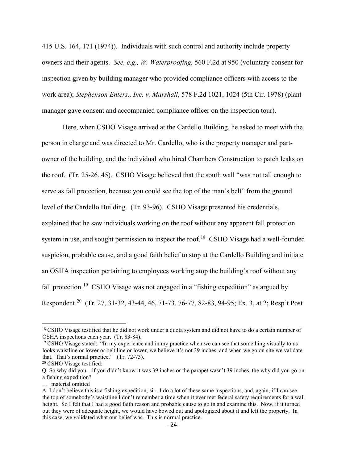415 U.S. 164, 171 (1974)). Individuals with such control and authority include property owners and their agents. *See, e.g., W. Waterproofing,* 560 F.2d at 950 (voluntary consent for inspection given by building manager who provided compliance officers with access to the work area); *Stephenson Enters., Inc. v. Marshall*, 578 F.2d 1021, 1024 (5th Cir. 1978) (plant manager gave consent and accompanied compliance officer on the inspection tour).

Here, when CSHO Visage arrived at the Cardello Building, he asked to meet with the person in charge and was directed to Mr. Cardello, who is the property manager and partowner of the building, and the individual who hired Chambers Construction to patch leaks on the roof. (Tr. 25-26, 45). CSHO Visage believed that the south wall "was not tall enough to serve as fall protection, because you could see the top of the man's belt" from the ground level of the Cardello Building. (Tr. 93-96). CSHO Visage presented his credentials, explained that he saw individuals working on the roof without any apparent fall protection system in use, and sought permission to inspect the roof.<sup>18</sup> CSHO Visage had a well-founded suspicion, probable cause, and a good faith belief to stop at the Cardello Building and initiate an OSHA inspection pertaining to employees working atop the building's roof without any fall protection.<sup>19</sup> CSHO Visage was not engaged in a "fishing expedition" as argued by Respondent.<sup>20</sup> (Tr. 27, 31-32, 43-44, 46, 71-73, 76-77, 82-83, 94-95; Ex. 3, at 2; Resp't Post

<span id="page-23-0"></span><sup>&</sup>lt;sup>18</sup> CSHO Visage testified that he did not work under a quota system and did not have to do a certain number of OSHA inspections each year. (Tr. 83-84).

<span id="page-23-1"></span><sup>&</sup>lt;sup>19</sup> CSHO Visage stated: "In my experience and in my practice when we can see that something visually to us looks waistline or lower or belt line or lower, we believe it's not 39 inches, and when we go on site we validate that. That's normal practice." (Tr. 72-73).

<span id="page-23-2"></span><sup>20</sup> CSHO Visage testified:

Q So why did you – if you didn't know it was 39 inches or the parapet wasn't 39 inches, the why did you go on a fishing expedition?

<sup>… [</sup>material omitted]

A I don't believe this is a fishing expedition, sir. I do a lot of these same inspections, and, again, if I can see the top of somebody's waistline I don't remember a time when it ever met federal safety requirements for a wall height. So I felt that I had a good faith reason and probable cause to go in and examine this. Now, if it turned out they were of adequate height, we would have bowed out and apologized about it and left the property. In this case, we validated what our belief was. This is normal practice.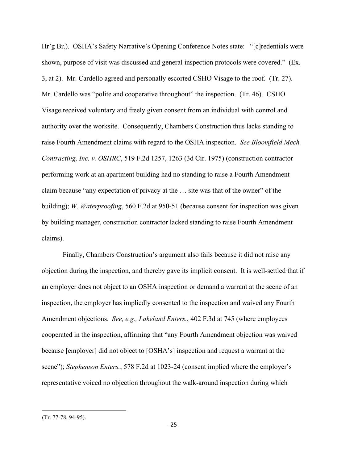Hr'g Br.). OSHA's Safety Narrative's Opening Conference Notes state: "[c]redentials were shown, purpose of visit was discussed and general inspection protocols were covered." (Ex. 3, at 2). Mr. Cardello agreed and personally escorted CSHO Visage to the roof. (Tr. 27). Mr. Cardello was "polite and cooperative throughout" the inspection. (Tr. 46). CSHO Visage received voluntary and freely given consent from an individual with control and authority over the worksite. Consequently, Chambers Construction thus lacks standing to raise Fourth Amendment claims with regard to the OSHA inspection. *See Bloomfield Mech. Contracting, Inc. v. OSHRC*, 519 F.2d 1257, 1263 (3d Cir. 1975) (construction contractor performing work at an apartment building had no standing to raise a Fourth Amendment claim because "any expectation of privacy at the … site was that of the owner" of the building); *W. Waterproofing*, 560 F.2d at 950-51 (because consent for inspection was given by building manager, construction contractor lacked standing to raise Fourth Amendment claims).

Finally, Chambers Construction's argument also fails because it did not raise any objection during the inspection, and thereby gave its implicit consent. It is well-settled that if an employer does not object to an OSHA inspection or demand a warrant at the scene of an inspection, the employer has impliedly consented to the inspection and waived any Fourth Amendment objections. *See, e.g., Lakeland Enters.*, 402 F.3d at 745 (where employees cooperated in the inspection, affirming that "any Fourth Amendment objection was waived because [employer] did not object to [OSHA's] inspection and request a warrant at the scene"); *Stephenson Enters.*, 578 F.2d at 1023-24 (consent implied where the employer's representative voiced no objection throughout the walk-around inspection during which

<sup>(</sup>Tr. 77-78, 94-95).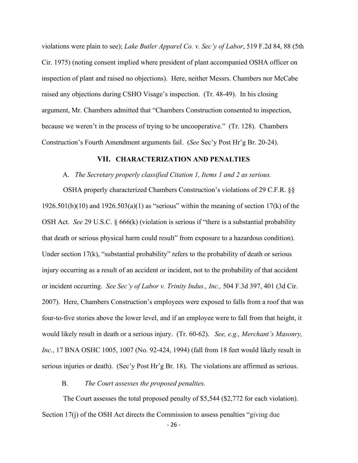violations were plain to see); *Lake Butler Apparel Co. v. Sec'y of Labor*, 519 F.2d 84, 88 (5th Cir. 1975) (noting consent implied where president of plant accompanied OSHA officer on inspection of plant and raised no objections). Here, neither Messrs. Chambers nor McCabe raised any objections during CSHO Visage's inspection. (Tr. 48-49). In his closing argument, Mr. Chambers admitted that "Chambers Construction consented to inspection, because we weren't in the process of trying to be uncooperative." (Tr. 128). Chambers Construction's Fourth Amendment arguments fail. (*See* Sec'y Post Hr'g Br. 20-24).

### **VII.****CHARACTERIZATION AND PENALTIES**

#### A. *The Secretary properly classified Citation 1, Items 1 and 2 as serious.*

 OSHA properly characterized Chambers Construction's violations of 29 C.F.R. §§ 1926.501(b)(10) and 1926.503(a)(1) as "serious" within the meaning of section 17(k) of the OSH Act. *See* 29 U.S.C. § 666(k) (violation is serious if "there is a substantial probability that death or serious physical harm could result" from exposure to a hazardous condition). Under section 17(k), "substantial probability" refers to the probability of death or serious injury occurring as a result of an accident or incident, not to the probability of that accident or incident occurring. *See Sec'y of Labor v. Trinity Indus., Inc.,* 504 F.3d 397, 401 (3d Cir. 2007). Here, Chambers Construction's employees were exposed to falls from a roof that was four-to-five stories above the lower level, and if an employee were to fall from that height, it would likely result in death or a serious injury. (Tr. 60-62). *See, e.g., Merchant's Masonry, Inc.*, 17 BNA OSHC 1005, 1007 (No. 92-424, 1994) (fall from 18 feet would likely result in serious injuries or death). (Sec'y Post Hr'g Br. 18). The violations are affirmed as serious.

## B*. The Court assesses the proposed penalties.*

 The Court assesses the total proposed penalty of \$5,544 (\$2,772 for each violation). Section 17(j) of the OSH Act directs the Commission to assess penalties "giving due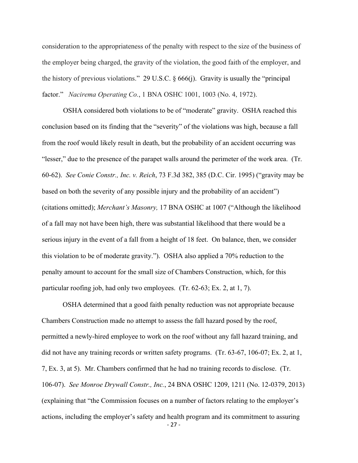consideration to the appropriateness of the penalty with respect to the size of the business of the employer being charged, the gravity of the violation, the good faith of the employer, and the history of previous violations." 29 U.S.C. § 666(j). Gravity is usually the "principal factor." *Nacirema Operating Co.*, 1 BNA OSHC 1001, 1003 (No. 4, 1972).

 OSHA considered both violations to be of "moderate" gravity. OSHA reached this conclusion based on its finding that the "severity" of the violations was high, because a fall from the roof would likely result in death, but the probability of an accident occurring was "lesser," due to the presence of the parapet walls around the perimeter of the work area. (Tr. 60-62). *See Conie Constr., Inc. v. Reich*, 73 F.3d 382, 385 (D.C. Cir. 1995) ("gravity may be based on both the severity of any possible injury and the probability of an accident") (citations omitted); *Merchant's Masonry,* 17 BNA OSHC at 1007 ("Although the likelihood of a fall may not have been high, there was substantial likelihood that there would be a serious injury in the event of a fall from a height of 18 feet. On balance, then, we consider this violation to be of moderate gravity."). OSHA also applied a 70% reduction to the penalty amount to account for the small size of Chambers Construction, which, for this particular roofing job, had only two employees. (Tr. 62-63; Ex. 2, at 1, 7).

- 27 - OSHA determined that a good faith penalty reduction was not appropriate because Chambers Construction made no attempt to assess the fall hazard posed by the roof, permitted a newly-hired employee to work on the roof without any fall hazard training, and did not have any training records or written safety programs. (Tr. 63-67, 106-07; Ex. 2, at 1, 7, Ex. 3, at 5). Mr. Chambers confirmed that he had no training records to disclose. (Tr. 106-07). *See Monroe Drywall Constr., Inc.*, 24 BNA OSHC 1209, 1211 (No. 12-0379, 2013) (explaining that "the Commission focuses on a number of factors relating to the employer's actions, including the employer's safety and health program and its commitment to assuring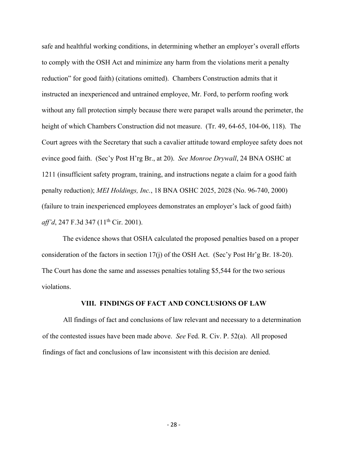safe and healthful working conditions, in determining whether an employer's overall efforts to comply with the OSH Act and minimize any harm from the violations merit a penalty reduction" for good faith) (citations omitted). Chambers Construction admits that it instructed an inexperienced and untrained employee, Mr. Ford, to perform roofing work without any fall protection simply because there were parapet walls around the perimeter, the height of which Chambers Construction did not measure. (Tr. 49, 64-65, 104-06, 118). The Court agrees with the Secretary that such a cavalier attitude toward employee safety does not evince good faith. (Sec'y Post H'rg Br., at 20). *See Monroe Drywall*, 24 BNA OSHC at 1211 (insufficient safety program, training, and instructions negate a claim for a good faith penalty reduction); *MEI Holdings, Inc.*, 18 BNA OSHC 2025, 2028 (No. 96-740, 2000) (failure to train inexperienced employees demonstrates an employer's lack of good faith) *aff'd*, 247 F.3d 347 (11<sup>th</sup> Cir. 2001).

The evidence shows that OSHA calculated the proposed penalties based on a proper consideration of the factors in section 17(j) of the OSH Act. (Sec'y Post Hr'g Br. 18-20). The Court has done the same and assesses penalties totaling \$5,544 for the two serious violations.

## **VIII. FINDINGS OF FACT AND CONCLUSIONS OF LAW**

All findings of fact and conclusions of law relevant and necessary to a determination of the contested issues have been made above. *See* Fed. R. Civ. P. 52(a). All proposed findings of fact and conclusions of law inconsistent with this decision are denied.